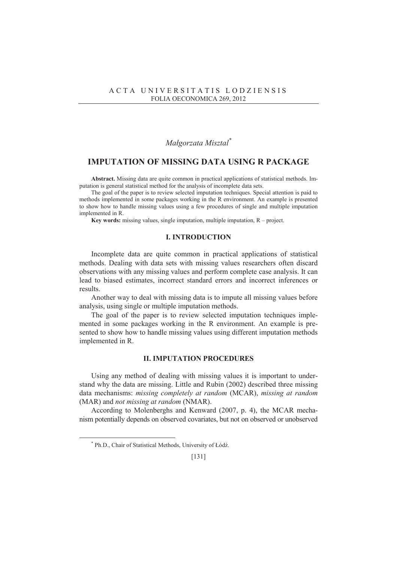## *Maágorzata Misztal\**

## **IMPUTATION OF MISSING DATA USING R PACKAGE**

**Abstract.** Missing data are quite common in practical applications of statistical methods. Imputation is general statistical method for the analysis of incomplete data sets.

The goal of the paper is to review selected imputation techniques. Special attention is paid to methods implemented in some packages working in the R environment. An example is presented to show how to handle missing values using a few procedures of single and multiple imputation implemented in R.

**Key words:** missing values, single imputation, multiple imputation, R – project.

## **I. INTRODUCTION**

Incomplete data are quite common in practical applications of statistical methods. Dealing with data sets with missing values researchers often discard observations with any missing values and perform complete case analysis. It can lead to biased estimates, incorrect standard errors and incorrect inferences or results.

Another way to deal with missing data is to impute all missing values before analysis, using single or multiple imputation methods.

The goal of the paper is to review selected imputation techniques implemented in some packages working in the R environment. An example is presented to show how to handle missing values using different imputation methods implemented in R.

### **II. IMPUTATION PROCEDURES**

Using any method of dealing with missing values it is important to understand why the data are missing. Little and Rubin (2002) described three missing data mechanisms: *missing completely at random* (MCAR), *missing at random* (MAR) and *not missing at random* (NMAR).

According to Molenberghs and Kenward (2007, p. 4), the MCAR mechanism potentially depends on observed covariates, but not on observed or unobserved

 $\overline{a}$ 

<sup>\*</sup> Ph.D., Chair of Statistical Methods, University of Łódź.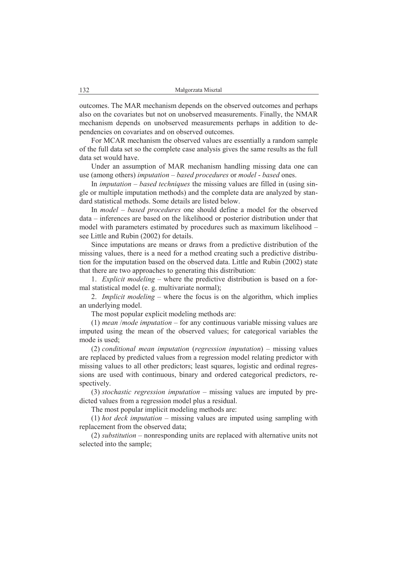outcomes. The MAR mechanism depends on the observed outcomes and perhaps also on the covariates but not on unobserved measurements. Finally, the NMAR mechanism depends on unobserved measurements perhaps in addition to dependencies on covariates and on observed outcomes.

For MCAR mechanism the observed values are essentially a random sample of the full data set so the complete case analysis gives the same results as the full data set would have.

Under an assumption of MAR mechanism handling missing data one can use (among others) *imputation* – *based procedures* or *model* - *based* ones.

In *imputation – based techniques* the missing values are filled in (using single or multiple imputation methods) and the complete data are analyzed by standard statistical methods. Some details are listed below.

In *model – based procedures* one should define a model for the observed data – inferences are based on the likelihood or posterior distribution under that model with parameters estimated by procedures such as maximum likelihood – see Little and Rubin (2002) for details.

Since imputations are means or draws from a predictive distribution of the missing values, there is a need for a method creating such a predictive distribution for the imputation based on the observed data. Little and Rubin (2002) state that there are two approaches to generating this distribution:

1. *Explicit modeling* – where the predictive distribution is based on a formal statistical model (e. g. multivariate normal);

2. *Implicit modeling* – where the focus is on the algorithm, which implies an underlying model.

The most popular explicit modeling methods are:

(1) *mean* /*mode imputation* – for any continuous variable missing values are imputed using the mean of the observed values; for categorical variables the mode is used;

(2) *conditional mean imputation* (*regression imputation*) – missing values are replaced by predicted values from a regression model relating predictor with missing values to all other predictors; least squares, logistic and ordinal regressions are used with continuous, binary and ordered categorical predictors, respectively.

(3) *stochastic regression imputation* – missing values are imputed by predicted values from a regression model plus a residual.

The most popular implicit modeling methods are:

(1) *hot deck imputation* – missing values are imputed using sampling with replacement from the observed data;

(2) *substitution* – nonresponding units are replaced with alternative units not selected into the sample;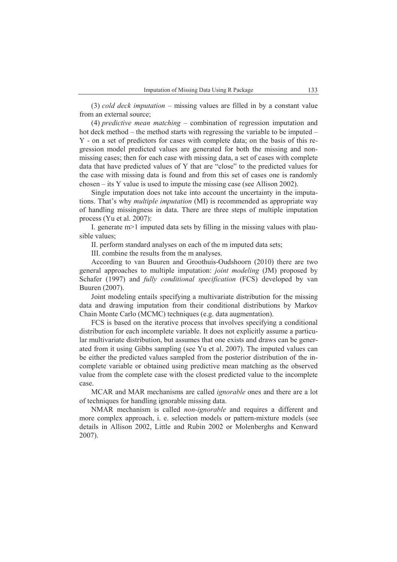(3) *cold deck imputation* – missing values are filled in by a constant value from an external source;

(4) *predictive mean matching* – combination of regression imputation and hot deck method – the method starts with regressing the variable to be imputed – Y - on a set of predictors for cases with complete data; on the basis of this regression model predicted values are generated for both the missing and nonmissing cases; then for each case with missing data, a set of cases with complete data that have predicted values of Y that are "close" to the predicted values for the case with missing data is found and from this set of cases one is randomly chosen – its Y value is used to impute the missing case (see Allison 2002).

Single imputation does not take into account the uncertainty in the imputations. That's why *multiple imputation* (MI) is recommended as appropriate way of handling missingness in data. There are three steps of multiple imputation process (Yu et al. 2007):

I. generate  $m$  > 1 imputed data sets by filling in the missing values with plausible values;

II. perform standard analyses on each of the m imputed data sets;

III. combine the results from the m analyses.

According to van Buuren and Groothuis-Oudshoorn (2010) there are two general approaches to multiple imputation: *joint modeling* (JM) proposed by Schafer (1997) and *fully conditional specification* (FCS) developed by van Buuren (2007).

Joint modeling entails specifying a multivariate distribution for the missing data and drawing imputation from their conditional distributions by Markov Chain Monte Carlo (MCMC) techniques (e.g. data augmentation).

FCS is based on the iterative process that involves specifying a conditional distribution for each incomplete variable. It does not explicitly assume a particular multivariate distribution, but assumes that one exists and draws can be generated from it using Gibbs sampling (see Yu et al. 2007). The imputed values can be either the predicted values sampled from the posterior distribution of the incomplete variable or obtained using predictive mean matching as the observed value from the complete case with the closest predicted value to the incomplete case.

MCAR and MAR mechanisms are called *ignorable* ones and there are a lot of techniques for handling ignorable missing data.

NMAR mechanism is called *non-ignorable* and requires a different and more complex approach, i. e. selection models or pattern-mixture models (see details in Allison 2002, Little and Rubin 2002 or Molenberghs and Kenward 2007).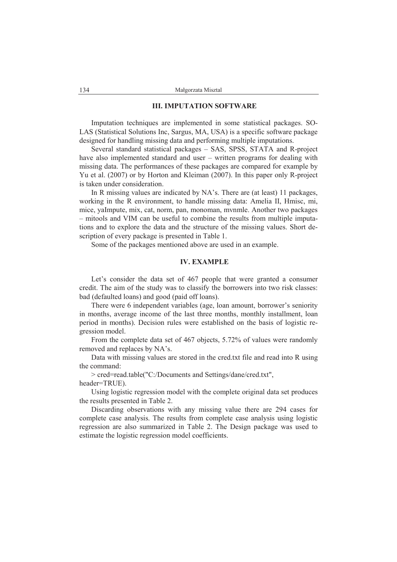### **III. IMPUTATION SOFTWARE**

Imputation techniques are implemented in some statistical packages. SO-LAS (Statistical Solutions Inc, Sargus, MA, USA) is a specific software package designed for handling missing data and performing multiple imputations.

Several standard statistical packages – SAS, SPSS, STATA and R-project have also implemented standard and user – written programs for dealing with missing data. The performances of these packages are compared for example by Yu et al. (2007) or by Horton and Kleiman (2007). In this paper only R-project is taken under consideration.

In R missing values are indicated by NA's. There are (at least) 11 packages, working in the R environment, to handle missing data: Amelia II, Hmisc, mi, mice, yaImpute, mix, cat, norm, pan, monoman, mvnmle. Another two packages – mitools and VIM can be useful to combine the results from multiple imputations and to explore the data and the structure of the missing values. Short description of every package is presented in Table 1.

Some of the packages mentioned above are used in an example.

### **IV. EXAMPLE**

Let's consider the data set of 467 people that were granted a consumer credit. The aim of the study was to classify the borrowers into two risk classes: bad (defaulted loans) and good (paid off loans).

There were 6 independent variables (age, loan amount, borrower's seniority in months, average income of the last three months, monthly installment, loan period in months). Decision rules were established on the basis of logistic regression model.

From the complete data set of 467 objects, 5.72% of values were randomly removed and replaces by NA's.

Data with missing values are stored in the cred.txt file and read into R using the command:

> cred=read.table("C:/Documents and Settings/dane/cred.txt", header=TRUE).

Using logistic regression model with the complete original data set produces the results presented in Table 2.

Discarding observations with any missing value there are 294 cases for complete case analysis. The results from complete case analysis using logistic regression are also summarized in Table 2. The Design package was used to estimate the logistic regression model coefficients.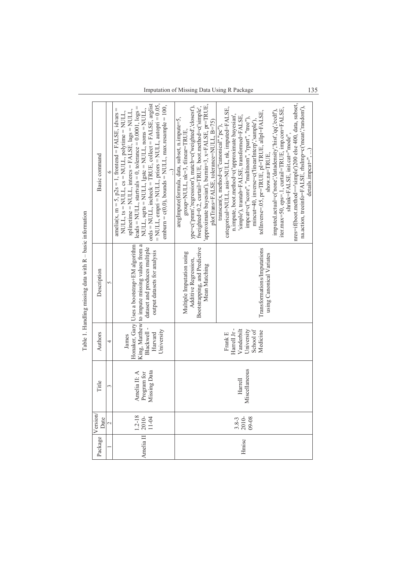| <b>NAME IN ALCOHOL</b>                                                                                                                                                                                                         | Basic command   | $= NULL$ , empri $= NULL$ , priors $= NULL$ , autopri $= 0.05$ ,<br>ords = NULL, incheck = TRUE, collect = FALSE, arglist<br>emburn = $c(0,0)$ , bounds = NULL, max.resample = 100,<br>leads = NULL, startvals = 0, tolerance = $0.0001$ , $log s$ =<br>amelia(x, m = 5, $p2s = 1$ , frontend = FALSE, idvars =<br>$NULL$ , sqrts = $NULL$ , lgstc = $NULL$ , noms = $NULL$ ,<br>splinetime = NULL, intercs = FALSE, $\text{lags} = \text{NULL}$ ,<br>NULL, $ts = NULL$ , $cs = NULL$ , $polytime = NULL$ , | approximate bayesian'), burnin=3, x=FALSE, pr=TRUE,<br>ype=c('pmm','regression'), match=c('weighted','closest'),<br>fweighted=0.2, curtail=TRUE, boot.method=c('simple',<br>aregImpute(formula, data, subset, n.impute=5,<br>plotTrans=FALSE, tolerance=NULL, B=75)<br>group=NULL, nk=3, tlinear=TRUE | nres=if(boot.method=='simple')200 else 400, data, subset,<br>na.action, treeinfo=FALSE, rhsImp=c('mean','random'),<br>iter.max=50, eps=.1, curtail=TRUE, imp.con=FALSE,<br>categorical=NULL, asis=NULL, nk, imputed=FALSE,<br>imputed.actual=c('none','datadensity','hist','qq','ecdf'),<br>tolInverse=.05, pr=TRUE, pl=TRUE, allpl=FALSE,<br>n.impute, boot.method=c('approximate bayesian',<br>simple'), trantab=FALSE, transformed=FALSE,<br>impcat=c("score", "multinom", "rpart", "tree"),<br>mincut=40, inverse=c('linearInterp','sample'),<br>$transcan(x, method=c("canonical", "pc"),$<br>shrink=FALSE, init.cat="mode",<br>$details.impcat="$ ,<br>show.na=TRUE, |  |  |  |
|--------------------------------------------------------------------------------------------------------------------------------------------------------------------------------------------------------------------------------|-----------------|-------------------------------------------------------------------------------------------------------------------------------------------------------------------------------------------------------------------------------------------------------------------------------------------------------------------------------------------------------------------------------------------------------------------------------------------------------------------------------------------------------------|-------------------------------------------------------------------------------------------------------------------------------------------------------------------------------------------------------------------------------------------------------------------------------------------------------|----------------------------------------------------------------------------------------------------------------------------------------------------------------------------------------------------------------------------------------------------------------------------------------------------------------------------------------------------------------------------------------------------------------------------------------------------------------------------------------------------------------------------------------------------------------------------------------------------------------------------------------------------------------------------|--|--|--|
| in the common community of the community of the community of the community of the community of the community of the community of the community of the community of the community of the community of the community of the comm | Description     | Honaker, Gary Uses a bootstrap+EM algorithm<br>King, Matthew to impute missing values from a<br>dataset and produces multiple<br>output datasets for analysis                                                                                                                                                                                                                                                                                                                                               | Bootstrapping, and Predictive<br>Multiple Imputation using<br>Additive Regression,<br>Mean Matching                                                                                                                                                                                                   | Transformations/Imputations<br>using Canonical Variates                                                                                                                                                                                                                                                                                                                                                                                                                                                                                                                                                                                                                    |  |  |  |
|                                                                                                                                                                                                                                | Authors         | Blackwell-<br>University<br>Harvard<br>Jannes                                                                                                                                                                                                                                                                                                                                                                                                                                                               |                                                                                                                                                                                                                                                                                                       | Harrell Jr-<br>Vanderbilt<br>University<br>School of<br>Medicine<br>Frank E                                                                                                                                                                                                                                                                                                                                                                                                                                                                                                                                                                                                |  |  |  |
|                                                                                                                                                                                                                                | Title           | Program for<br>Missing Data<br>Amelia II: A                                                                                                                                                                                                                                                                                                                                                                                                                                                                 | Miscellaneous<br>Harrell                                                                                                                                                                                                                                                                              |                                                                                                                                                                                                                                                                                                                                                                                                                                                                                                                                                                                                                                                                            |  |  |  |
|                                                                                                                                                                                                                                | Version<br>Date | $\frac{1.2 - 18}{2.010}$                                                                                                                                                                                                                                                                                                                                                                                                                                                                                    |                                                                                                                                                                                                                                                                                                       | $3.8-3$<br>$2010-$<br>$09-08$                                                                                                                                                                                                                                                                                                                                                                                                                                                                                                                                                                                                                                              |  |  |  |
|                                                                                                                                                                                                                                | Package         | Amelia II                                                                                                                                                                                                                                                                                                                                                                                                                                                                                                   |                                                                                                                                                                                                                                                                                                       | Hmisc                                                                                                                                                                                                                                                                                                                                                                                                                                                                                                                                                                                                                                                                      |  |  |  |

Table 1. Handling missing data with  $R -$  basic information Table 1. Handling missing data with R – basic information Imputation of Missing Data Using R Package 135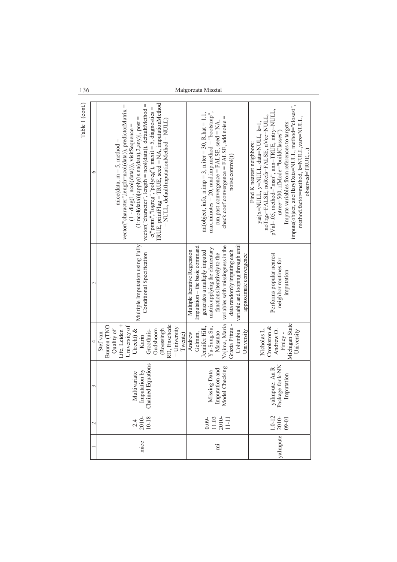| Table 1 (cont.) | ७               | c("pmm","logreg","polyreg"), maxit = 5, diagnostics =<br>TRUE, printFlag = TRUE, seed = NA, imputationMethod<br>$vector("character", length = ncol(data)), defaultMethod =$<br>vector("character",length=ncol(data)), predictorMatrix =<br>$(1 \text{ 'ncol(data)})$ [apply(is.na(data),2,any)], post =<br>$= NULL, default ImputationMethod = NULL)$<br>$(1 - diag(1, ncol(data)))$ , visitSequence =<br>mice(data, $m = 5$ , method = | $max.$ minutes = 20, rand.imp.method = "bootstrap",<br>mi(object, info, $n$ .imp = 3, $n$ .iter = 30, $R$ .hat = 1.1,<br>check.coef.convergence = FALSE, add.noise =<br>run.past.convergence = FALSE, seed = NA,<br>noise.control())                                                                   | impute(object, ancillaryData=NULL, method="closest",<br>pVal=.05, method="msn", ann=TRUE, mtry=NULL,<br>noTrgs=FALSE, noRefs=FALSE, nVec=NULL,<br>method.factor=method, k=NULL, vars=NULL,<br>Impute variables from references to targets:<br>yai(x=NULL, y=NULL, data=NULL, k=1<br>ntree=500, rfMode="buildClasses")<br>Find K nearest neighbors:<br>observed=TRUE, |
|-----------------|-----------------|-----------------------------------------------------------------------------------------------------------------------------------------------------------------------------------------------------------------------------------------------------------------------------------------------------------------------------------------------------------------------------------------------------------------------------------------|--------------------------------------------------------------------------------------------------------------------------------------------------------------------------------------------------------------------------------------------------------------------------------------------------------|----------------------------------------------------------------------------------------------------------------------------------------------------------------------------------------------------------------------------------------------------------------------------------------------------------------------------------------------------------------------|
|                 | 5               | Multiple Imputation using Fully<br>Conditional Specification                                                                                                                                                                                                                                                                                                                                                                            | variable and looping through until<br>variables with missingness in the<br>Imputation – the basic command<br>matrix applying the elementary<br>Multiple Iterative Regression<br>generates a multiply imputed<br>data randomly imputing each<br>functions iteratively to the<br>approximate convergence | Performs popular nearest<br>neighbor routines for<br>imputation                                                                                                                                                                                                                                                                                                      |
|                 | 4               | Life, Leiden +<br>RD, Enschede<br>University of<br>Buuren (TNO<br>+ University<br>Quality of<br>(Roessingh<br>Utrecht) $\&$<br>Oudshoom<br>Groothuis-<br>Stef van<br>Twente)<br>Karin                                                                                                                                                                                                                                                   | Yajima, Maria<br>Grazia Pittau -<br>Jennifer Hill,<br>Yu-Sung Su,<br>Columbia<br>University<br>Masanao<br>Gelman,<br>Andrew                                                                                                                                                                            | Michigan State<br>Crookston &<br>Nicholas L.<br>University<br>Andrew O.<br>Finley -                                                                                                                                                                                                                                                                                  |
|                 |                 | Multivariate<br>Imputation by<br>Chained Equations                                                                                                                                                                                                                                                                                                                                                                                      | Missing Data<br>Imputation and<br>Model Checking                                                                                                                                                                                                                                                       | yaImpute: An R<br>Package for k-NN<br>Imputation<br>mputation                                                                                                                                                                                                                                                                                                        |
|                 | $\mathbf{\sim}$ | $2.4$<br>$2.010-$<br>$10-18$                                                                                                                                                                                                                                                                                                                                                                                                            | $0.03$<br>$1.03$<br>$1.1$<br>$1.1$                                                                                                                                                                                                                                                                     | $\frac{1.0 - 12}{2010}$                                                                                                                                                                                                                                                                                                                                              |
|                 |                 | mice                                                                                                                                                                                                                                                                                                                                                                                                                                    | ΪËΙ                                                                                                                                                                                                                                                                                                    | yaImpute                                                                                                                                                                                                                                                                                                                                                             |

# 136 Maágorzata Misztal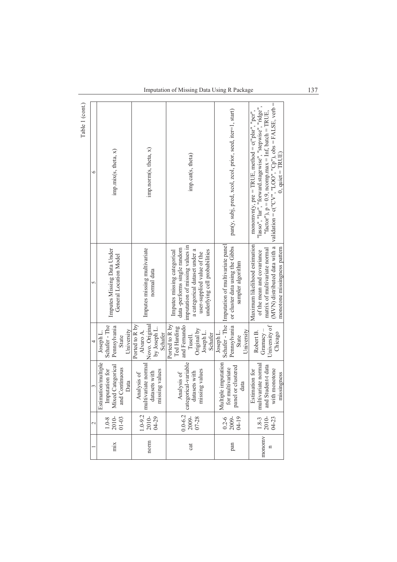Imputation of Missing Data Using R Package 137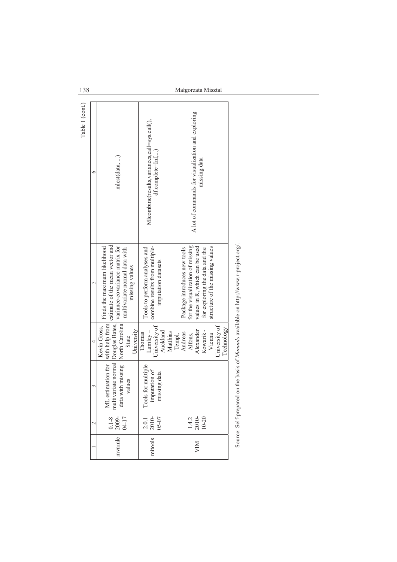| Table 1 (cont.) | mlest(data, )<br>c       |                                                                                                                                                                                                          | MIcombine(results, variances, call=sys.call(),<br>df.complete=Inf,)                    | A lot of commands for visualization and exploring<br>missing data                                                                                                       |
|-----------------|--------------------------|----------------------------------------------------------------------------------------------------------------------------------------------------------------------------------------------------------|----------------------------------------------------------------------------------------|-------------------------------------------------------------------------------------------------------------------------------------------------------------------------|
|                 | 5                        | estimate of the mean vector and<br>with missing $\left  \text{North Carolina} \right $ variance-covariance matrix for<br>Finds the maximum likelihood<br>multivariate normal data with<br>missing values | combine results from multiple-<br>Tools to perform analyses and<br>imputation datasets | for the visualization of missing<br>values in R, which can be used<br>structure of the missing values<br>Package introduces new tools<br>for exploring the data and the |
|                 | 4                        | University<br>State                                                                                                                                                                                      | University of<br>Auckland<br>Lumley-<br>Thomas                                         | University of<br>Technology<br>Kowarik-<br>Alexander<br>Matthias<br>Andreas<br>Alfons,<br>Vienna<br>Templ,                                                              |
|                 | 3                        | ML estimation for with help from<br>multivariate normal Douglas Bates, data with missing $N1$ .<br>values                                                                                                | Tools for multiple<br>imputation of<br>missing data<br>issing data                     |                                                                                                                                                                         |
|                 | $\overline{\mathcal{C}}$ | $\frac{0.1-8}{2009}$<br>04-17                                                                                                                                                                            | $\frac{2.01}{2010}$                                                                    | $1.4.2$<br>$2010-$<br>$10-20$                                                                                                                                           |
|                 |                          | mvnmle                                                                                                                                                                                                   | mitools                                                                                | <b>NII</b>                                                                                                                                                              |

on http://www.r-project.org/. Source: Self-prepared on the basis of *Manuals* available on http://www.r-project.org/. avanavic  $\frac{1}{2}$ Source: Self-prepared on the pasis

138 Maágorzata Misztal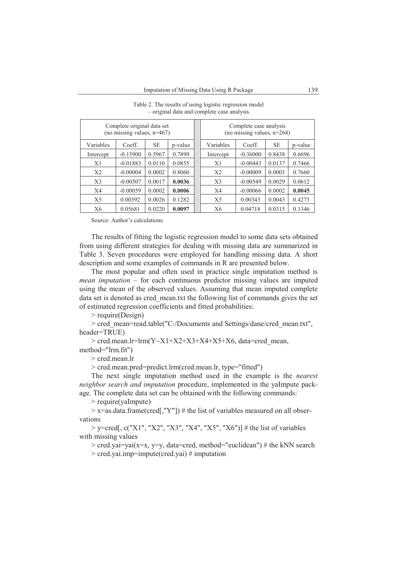| Complete original data set<br>(no missing values, $n=467$ ) |            |           |         |  | Complete case analysis<br>(no missing values, $n=264$ ) |            |           |         |
|-------------------------------------------------------------|------------|-----------|---------|--|---------------------------------------------------------|------------|-----------|---------|
| Variables                                                   | Coeff.     | <b>SE</b> | p-value |  | Variables                                               | Coeff.     | <b>SE</b> | p-value |
| Intercept                                                   | $-0.15900$ | 0.5967    | 0.7899  |  | Intercept                                               | $-0.36000$ | 0.8438    | 0.6696  |
| X1                                                          | $-0.01883$ | 0.0110    | 0.0855  |  | X1                                                      | $-0.00443$ | 0.0137    | 0.7466  |
| X <sub>2</sub>                                              | $-0.00004$ | 0.0002    | 0.8060  |  | X <sub>2</sub>                                          | $-0.00009$ | 0.0003    | 0.7660  |
| X <sub>3</sub>                                              | $-0.00507$ | 0.0017    | 0.0036  |  | X <sub>3</sub>                                          | $-0.00549$ | 0.0029    | 0.0612  |
| X4                                                          | $-0.00059$ | 0.0002    | 0.0006  |  | X <sub>4</sub>                                          | $-0.00066$ | 0.0002    | 0.0045  |
| X <sub>5</sub>                                              | 0.00392    | 0.0026    | 0.1282  |  | X <sub>5</sub>                                          | 0.00343    | 0.0043    | 0.4273  |
| X6                                                          | 0.05681    | 0.0220    | 0.0097  |  | X6                                                      | 0.04718    | 0.0315    | 0.1346  |

Table 2. The results of using logistic regression model – original data and complete case analysis.

Source: Author's calculations.

The results of fitting the logistic regression model to some data sets obtained from using different strategies for dealing with missing data are summarized in Table 3. Seven procedures were employed for handling missing data. A short description and some examples of commands in R are presented below.

The most popular and often used in practice single imputation method is *mean imputation* – for each continuous predictor missing values are imputed using the mean of the observed values. Assuming that mean imputed complete data set is denoted as cred\_mean.txt the following list of commands gives the set of estimated regression coefficients and fitted probabilities:

> require(Design)

> cred\_mean=read.table("C:/Documents and Settings/dane/cred\_mean.txt", header=TRUE)

 $>$  cred.mean.lr=lrm(Y~X1+X2+X3+X4+X5+X6, data=cred mean, method="lrm.fit")

> cred.mean.lr

> cred.mean.pred=predict.lrm(cred.mean.lr, type="fitted")

The next single imputation method used in the example is the *nearest neighbor search and imputation* procedure, implemented in the yaImpute package. The complete data set can be obtained with the following commands:

> require(yaImpute)

 $> x =$ as.data.frame(cred[,"Y"]) # the list of variables measured on all observations

 $>$  y=cred[, c("X1", "X2", "X3", "X4", "X5", "X6")] # the list of variables with missing values

 $>$  cred.yai=yai(x=x, y=y, data=cred, method="euclidean") # the kNN search

> cred.yai.imp=impute(cred.yai) # imputation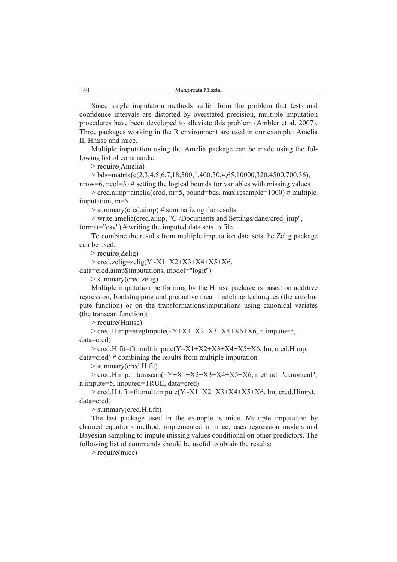Since single imputation methods suffer from the problem that tests and confidence intervals are distorted by overstated precision, multiple imputation procedures have been developed to alleviate this problem (Ambler et al. 2007). Three packages working in the R environment are used in our example: Amelia II, Hmisc and mice.

Multiple imputation using the Amelia package can be made using the following list of commands:

> require(Amelia)

 $>$  bds=matrix(c(2,3,4,5,6,7,18,500,1,400,30,4,65,10000,320,4500,700,36),

nrow=6,  $\text{ncol}$ =3) # setting the logical bounds for variables with missing values  $>$  cred.aimp=amelia(cred, m=5, bound=bds, max.resample=1000) # multiple imputation, m=5

 $>$  summary(cred.aimp)  $\#$  summarizing the results

> write.amelia(cred.aimp, "C:/Documents and Settings/dane/cred\_imp", format="csv")  $\#$  writing the imputed data sets to file

To combine the results from multiple imputation data sets the Zelig package can be used:

> require(Zelig)

 $> \text{cred}$ .zelig=zelig(Y~X1+X2+X3+X4+X5+X6,

data=cred.aimp\$imputations, model="logit")

> summary(cred.zelig)

Multiple imputation performing by the Hmisc package is based on additive regression, bootstrapping and predictive mean matching techniques (the aregImpute function) or on the transformations/imputations using canonical variates (the transcan function):

> require(Hmisc)

 $>$  cred.Himp=aregImpute( $\sim$ Y+X1+X2+X3+X4+X5+X6, n.impute=5, data=cred)

 $>$  cred.H.fit=fit.mult.impute(Y~X1+X2+X3+X4+X5+X6, lm, cred.Himp, data=cred) # combining the results from multiple imputation

> summary(cred.H.fit)

> cred.Himp.t=transcan(~Y+X1+X2+X3+X4+X5+X6, method="canonical", n.impute=5, imputed=TRUE, data=cred)

 $>$  cred.H.t.fit=fit.mult.impute(Y~X1+X2+X3+X4+X5+X6, lm, cred.Himp.t, data=cred)

> summary(cred.H.t.fit)

The last package used in the example is mice. Multiple imputation by chained equations method, implemented in mice, uses regression models and Bayesian sampling to impute missing values conditional on other predictors. The following list of commands should be useful to obtain the results:

> require(mice)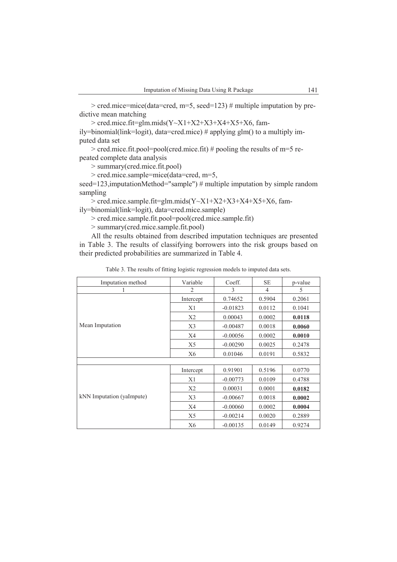> cred.mice=mice(data=cred, m=5, seed=123) # multiple imputation by predictive mean matching

 $>$  cred.mice.fit=glm.mids(Y~X1+X2+X3+X4+X5+X6, family=binomial(link=logit), data=cred.mice) # applying glm() to a multiply imputed data set

> cred.mice.fit.pool=pool(cred.mice.fit) # pooling the results of m=5 repeated complete data analysis

> summary(cred.mice.fit.pool)

> cred.mice.sample=mice(data=cred, m=5,

seed=123,imputationMethod="sample") # multiple imputation by simple random sampling

 $>$  cred.mice.sample.fit=glm.mids(Y~X1+X2+X3+X4+X5+X6, fam-

ily=binomial(link=logit), data=cred.mice.sample)

> cred.mice.sample.fit.pool=pool(cred.mice.sample.fit)

> summary(cred.mice.sample.fit.pool)

All the results obtained from described imputation techniques are presented in Table 3. The results of classifying borrowers into the risk groups based on their predicted probabilities are summarized in Table 4.

| Imputation method         | Variable       | Coeff.     | <b>SE</b>      | p-value |
|---------------------------|----------------|------------|----------------|---------|
|                           | 2              | 3          | $\overline{4}$ | 5       |
|                           | Intercept      | 0.74652    | 0.5904         | 0.2061  |
|                           | X1             | $-0.01823$ | 0.0112         | 0.1041  |
|                           | X <sub>2</sub> | 0.00043    | 0.0002         | 0.0118  |
| Mean Imputation           | X <sub>3</sub> | $-0.00487$ | 0.0018         | 0.0060  |
|                           | X <sub>4</sub> | $-0.00056$ | 0.0002         | 0.0010  |
|                           | X5             | $-0.00290$ | 0.0025         | 0.2478  |
|                           | X6             | 0.01046    | 0.0191         | 0.5832  |
|                           |                |            |                |         |
|                           | Intercept      | 0.91901    | 0.5196         | 0.0770  |
|                           | X1             | $-0.00773$ | 0.0109         | 0.4788  |
|                           | X <sub>2</sub> | 0.00031    | 0.0001         | 0.0182  |
| kNN Imputation (yaImpute) | X <sub>3</sub> | $-0.00667$ | 0.0018         | 0.0002  |
|                           | X <sub>4</sub> | $-0.00060$ | 0.0002         | 0.0004  |
|                           | X5             | $-0.00214$ | 0.0020         | 0.2889  |
|                           | X6             | $-0.00135$ | 0.0149         | 0.9274  |

Table 3. The results of fitting logistic regression models to imputed data sets.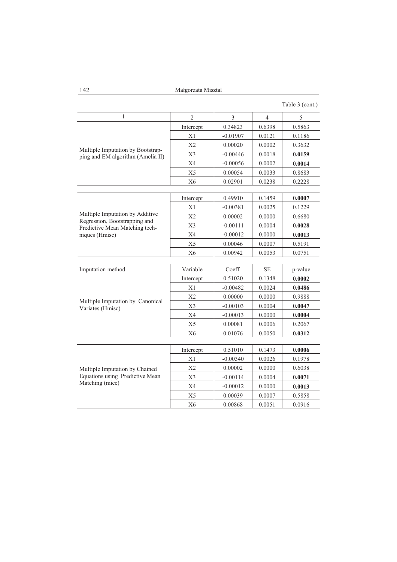142 Maágorzata Misztal

| Table 3 (cont.) |  |  |
|-----------------|--|--|
|-----------------|--|--|

| 1                                                               | $\overline{2}$ | 3          | 4         | 5       |  |  |  |
|-----------------------------------------------------------------|----------------|------------|-----------|---------|--|--|--|
|                                                                 | Intercept      | 0.34823    | 0.6398    | 0.5863  |  |  |  |
|                                                                 | X1             | $-0.01907$ | 0.0121    | 0.1186  |  |  |  |
| Multiple Imputation by Bootstrap-                               | X <sub>2</sub> | 0.00020    | 0.0002    | 0.3632  |  |  |  |
| ping and EM algorithm (Amelia II)                               | X3             | $-0.00446$ | 0.0018    | 0.0159  |  |  |  |
|                                                                 | X4             | $-0.00056$ | 0.0002    | 0.0014  |  |  |  |
|                                                                 | X5             | 0.00054    | 0.0033    | 0.8683  |  |  |  |
|                                                                 | X <sub>6</sub> | 0.02901    | 0.0238    | 0.2228  |  |  |  |
|                                                                 |                |            |           |         |  |  |  |
|                                                                 | Intercept      | 0.49910    | 0.1459    | 0.0007  |  |  |  |
|                                                                 | X1             | $-0.00381$ | 0.0025    | 0.1229  |  |  |  |
| Multiple Imputation by Additive                                 | X2             | 0.00002    | 0.0000    | 0.6680  |  |  |  |
| Regression, Bootstrapping and<br>Predictive Mean Matching tech- | X3             | $-0.00111$ | 0.0004    | 0.0028  |  |  |  |
| niques (Hmisc)                                                  | X4             | $-0.00012$ | 0.0000    | 0.0013  |  |  |  |
|                                                                 | X5             | 0.00046    | 0.0007    | 0.5191  |  |  |  |
|                                                                 | X <sub>6</sub> | 0.00942    | 0.0053    | 0.0751  |  |  |  |
|                                                                 |                |            |           |         |  |  |  |
| Imputation method                                               | Variable       | Coeff.     | <b>SE</b> | p-value |  |  |  |
|                                                                 | Intercept      | 0.51020    | 0.1348    | 0.0002  |  |  |  |
|                                                                 | X1             | $-0.00482$ | 0.0024    | 0.0486  |  |  |  |
|                                                                 | X <sub>2</sub> | 0.00000    | 0.0000    | 0.9888  |  |  |  |
| Multiple Imputation by Canonical<br>Variates (Hmisc)            | X3             | $-0.00103$ | 0.0004    | 0.0047  |  |  |  |
|                                                                 | X4             | $-0.00013$ | 0.0000    | 0.0004  |  |  |  |
|                                                                 | X5             | 0.00081    | 0.0006    | 0.2067  |  |  |  |
|                                                                 | X <sub>6</sub> | 0.01076    | 0.0050    | 0.0312  |  |  |  |
|                                                                 |                |            |           |         |  |  |  |
|                                                                 | Intercept      | 0.51010    | 0.1473    | 0.0006  |  |  |  |
|                                                                 |                |            |           |         |  |  |  |
|                                                                 | X1             | $-0.00340$ | 0.0026    | 0.1978  |  |  |  |
| Multiple Imputation by Chained                                  | X2             | 0.00002    | 0.0000    | 0.6038  |  |  |  |
| Equations using Predictive Mean                                 | X <sub>3</sub> | $-0.00114$ | 0.0004    | 0.0071  |  |  |  |
| Matching (mice)                                                 | X <sub>4</sub> | $-0.00012$ | 0.0000    | 0.0013  |  |  |  |
|                                                                 | X <sub>5</sub> | 0.00039    | 0.0007    | 0.5858  |  |  |  |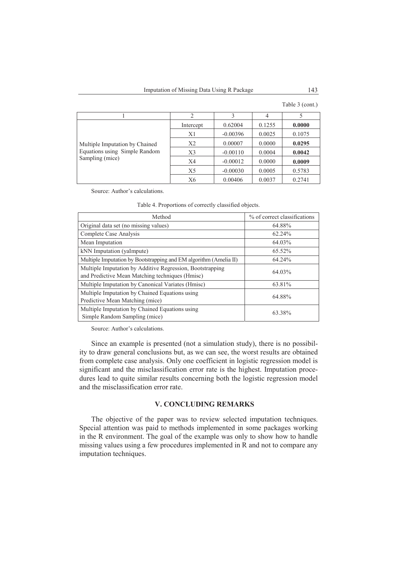Table 3 (cont.)

|                                |           |            | 4      |        |
|--------------------------------|-----------|------------|--------|--------|
|                                | Intercept | 0.62004    | 0.1255 | 0.0000 |
|                                | X1        | $-0.00396$ | 0.0025 | 0.1075 |
| Multiple Imputation by Chained | X2        | 0.00007    | 0.0000 | 0.0295 |
| Equations using Simple Random  | X3        | $-0.00110$ | 0.0004 | 0.0042 |
| Sampling (mice)                | X4        | $-0.00012$ | 0.0000 | 0.0009 |
|                                | X5        | $-0.00030$ | 0.0005 | 0.5783 |
|                                | X6        | 0.00406    | 0.0037 | 0.2741 |

Source: Author's calculations.

|  | Table 4. Proportions of correctly classified objects. |
|--|-------------------------------------------------------|
|  |                                                       |

| Method                                                                                                       | % of correct classifications |
|--------------------------------------------------------------------------------------------------------------|------------------------------|
| Original data set (no missing values)                                                                        | 64.88%                       |
| Complete Case Analysis                                                                                       | $62.24\%$                    |
| Mean Imputation                                                                                              | 64.03%                       |
| kNN Imputation (yaImpute)                                                                                    | $65.52\%$                    |
| Multiple Imputation by Bootstrapping and EM algorithm (Amelia II)                                            | 64.24%                       |
| Multiple Imputation by Additive Regression, Bootstrapping<br>and Predictive Mean Matching techniques (Hmisc) | 64.03%                       |
| Multiple Imputation by Canonical Variates (Hmisc)                                                            | 63.81%                       |
| Multiple Imputation by Chained Equations using<br>Predictive Mean Matching (mice)                            | 64.88%                       |
| Multiple Imputation by Chained Equations using<br>Simple Random Sampling (mice)                              | 63.38%                       |

Source: Author's calculations.

Since an example is presented (not a simulation study), there is no possibility to draw general conclusions but, as we can see, the worst results are obtained from complete case analysis. Only one coefficient in logistic regression model is significant and the misclassification error rate is the highest. Imputation procedures lead to quite similar results concerning both the logistic regression model and the misclassification error rate.

### **V. CONCLUDING REMARKS**

The objective of the paper was to review selected imputation techniques. Special attention was paid to methods implemented in some packages working in the R environment. The goal of the example was only to show how to handle missing values using a few procedures implemented in R and not to compare any imputation techniques.